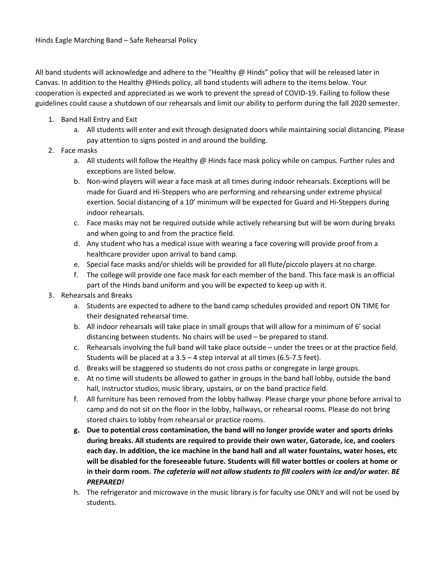All band students will acknowledge and adhere to the "Healthy @ Hinds" policy that will be released later in Canvas. In addition to the Healthy @Hinds policy, all band students will adhere to the items below. Your cooperation is expected and appreciated as we work to prevent the spread of COVID-19. Failing to follow these guidelines could cause a shutdown of our rehearsals and limit our ability to perform during the fall 2020 semester.

- 1. Band Hall Entry and Exit
	- a. All students will enter and exit through designated doors while maintaining social distancing. Please pay attention to signs posted in and around the building.
- 2. Face masks
	- a. All students will follow the Healthy @ Hinds face mask policy while on campus. Further rules and exceptions are listed below.
	- b. Non-wind players will wear a face mask at all times during indoor rehearsals. Exceptions will be made for Guard and Hi-Steppers who are performing and rehearsing under extreme physical exertion. Social distancing of a 10' minimum will be expected for Guard and Hi-Steppers during indoor rehearsals.
	- c. Face masks may not be required outside while actively rehearsing but will be worn during breaks and when going to and from the practice field.
	- d. Any student who has a medical issue with wearing a face covering will provide proof from a healthcare provider upon arrival to band camp.
	- e. Special face masks and/or shields will be provided for all flute/piccolo players at no charge.
	- f. The college will provide one face mask for each member of the band. This face mask is an official part of the Hinds band uniform and you will be expected to keep up with it.
- 3. Rehearsals and Breaks
	- a. Students are expected to adhere to the band camp schedules provided and report ON TIME for their designated rehearsal time.
	- b. All indoor rehearsals will take place in small groups that will allow for a minimum of 6' social distancing between students. No chairs will be used – be prepared to stand.
	- c. Rehearsals involving the full band will take place outside under the trees or at the practice field. Students will be placed at a 3.5 – 4 step interval at all times (6.5-7.5 feet).
	- d. Breaks will be staggered so students do not cross paths or congregate in large groups.
	- e. At no time will students be allowed to gather in groups in the band hall lobby, outside the band hall, instructor studios, music library, upstairs, or on the band practice field.
	- f. All furniture has been removed from the lobby hallway. Please charge your phone before arrival to camp and do not sit on the floor in the lobby, hallways, or rehearsal rooms. Please do not bring stored chairs to lobby from rehearsal or practice rooms.
	- **g. Due to potential cross contamination, the band will no longer provide water and sports drinks during breaks. All students are required to provide their own water, Gatorade, ice, and coolers each day. In addition, the ice machine in the band hall and all water fountains, water hoses, etc will be disabled for the foreseeable future. Students will fill water bottles or coolers at home or in their dorm room.** *The cafeteria will not allow students to fill coolers with ice and/or water. BE PREPARED!*
	- h. The refrigerator and microwave in the music library is for faculty use ONLY and will not be used by students.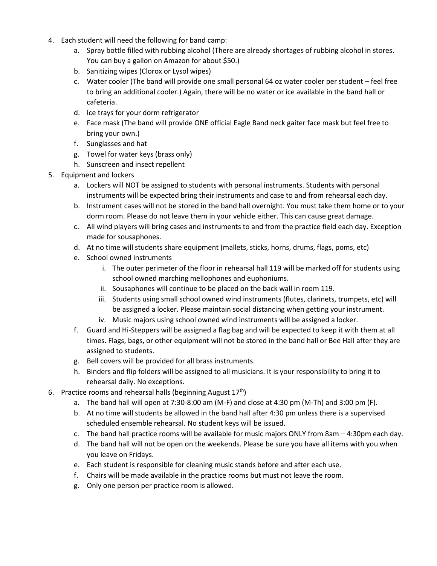- 4. Each student will need the following for band camp:
	- a. Spray bottle filled with rubbing alcohol (There are already shortages of rubbing alcohol in stores. You can buy a gallon on Amazon for about \$50.)
	- b. Sanitizing wipes (Clorox or Lysol wipes)
	- c. Water cooler (The band will provide one small personal 64 oz water cooler per student feel free to bring an additional cooler.) Again, there will be no water or ice available in the band hall or cafeteria.
	- d. Ice trays for your dorm refrigerator
	- e. Face mask (The band will provide ONE official Eagle Band neck gaiter face mask but feel free to bring your own.)
	- f. Sunglasses and hat
	- g. Towel for water keys (brass only)
	- h. Sunscreen and insect repellent
- 5. Equipment and lockers
	- a. Lockers will NOT be assigned to students with personal instruments. Students with personal instruments will be expected bring their instruments and case to and from rehearsal each day.
	- b. Instrument cases will not be stored in the band hall overnight. You must take them home or to your dorm room. Please do not leave them in your vehicle either. This can cause great damage.
	- c. All wind players will bring cases and instruments to and from the practice field each day. Exception made for sousaphones.
	- d. At no time will students share equipment (mallets, sticks, horns, drums, flags, poms, etc)
	- e. School owned instruments
		- i. The outer perimeter of the floor in rehearsal hall 119 will be marked off for students using school owned marching mellophones and euphoniums.
		- ii. Sousaphones will continue to be placed on the back wall in room 119.
		- iii. Students using small school owned wind instruments (flutes, clarinets, trumpets, etc) will be assigned a locker. Please maintain social distancing when getting your instrument.
		- iv. Music majors using school owned wind instruments will be assigned a locker.
	- f. Guard and Hi-Steppers will be assigned a flag bag and will be expected to keep it with them at all times. Flags, bags, or other equipment will not be stored in the band hall or Bee Hall after they are assigned to students.
	- g. Bell covers will be provided for all brass instruments.
	- h. Binders and flip folders will be assigned to all musicians. It is your responsibility to bring it to rehearsal daily. No exceptions.
- 6. Practice rooms and rehearsal halls (beginning August  $17<sup>th</sup>$ )
	- a. The band hall will open at 7:30-8:00 am (M-F) and close at 4:30 pm (M-Th) and 3:00 pm (F).
	- b. At no time will students be allowed in the band hall after 4:30 pm unless there is a supervised scheduled ensemble rehearsal. No student keys will be issued.
	- c. The band hall practice rooms will be available for music majors ONLY from 8am 4:30pm each day.
	- d. The band hall will not be open on the weekends. Please be sure you have all items with you when you leave on Fridays.
	- e. Each student is responsible for cleaning music stands before and after each use.
	- f. Chairs will be made available in the practice rooms but must not leave the room.
	- g. Only one person per practice room is allowed.